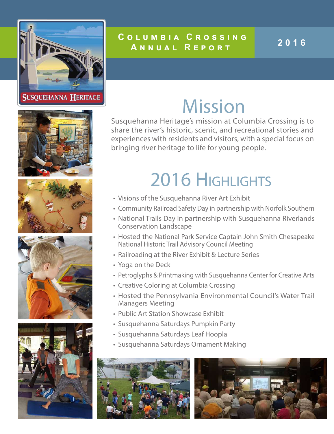

### **C o l u m b i a C r o s s i n g Annual Report <sup>2016</sup>**

### Mission

Susquehanna Heritage's mission at Columbia Crossing is to share the river's historic, scenic, and recreational stories and experiences with residents and visitors, with a special focus on bringing river heritage to life for young people.

### 2016 Highlights

- Visions of the Susquehanna River Art Exhibit
- Community Railroad Safety Day in partnership with Norfolk Southern
- National Trails Day in partnership with Susquehanna Riverlands Conservation Landscape
- Hosted the National Park Service Captain John Smith Chesapeake National Historic Trail Advisory Council Meeting
- Railroading at the River Exhibit & Lecture Series
- Yoga on the Deck
- Petroglyphs & Printmaking with Susquehanna Center for Creative Arts
- Creative Coloring at Columbia Crossing
- Hosted the Pennsylvania Environmental Council's Water Trail Managers Meeting
- Public Art Station Showcase Exhibit
- Susquehanna Saturdays Pumpkin Party
- Susquehanna Saturdays Leaf Hoopla
- Susquehanna Saturdays Ornament Making











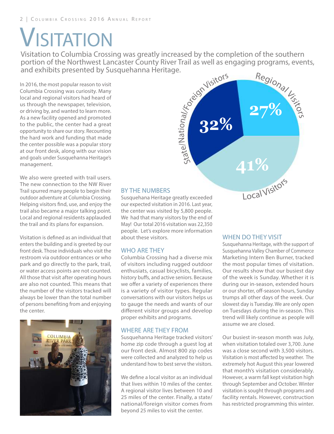## **VISITATION**

Visitation to Columbia Crossing was greatly increased by the completion of the southern portion of the Northwest Lancaster County River Trail as well as engaging programs, events, and exhibits presented by Susquehanna Heritage. Regional Visitors al/Foreign Visitors

In 2016, the most popular reason to visit Columbia Crossing was curiosity. Many local and regional visitors had heard of us through the newspaper, television, or driving by, and wanted to learn more. As a new facility opened and promoted to the public, the center had a great opportunity to share our story. Recounting the hard work and funding that made the center possible was a popular story at our front desk, along with our vision and goals under Susquehanna Heritage's management.

We also were greeted with trail users. The new connection to the NW River Trail spurred many people to begin their outdoor adventure at Columbia Crossing. Helping visitors find, use, and enjoy the trail also became a major talking point. Local and regional residents applauded the trail and its plans for expansion.

Visitation is defined as an individual that enters the building and is greeted by our front desk. Those individuals who visit the restroom via outdoor entrances or who park and go directly to the park, trail, or water access points are not counted. All those that visit after operating hours are also not counted. This means that the number of the visitors tracked will always be lower than the total number of persons benefiting from and enjoying the center.



#### BY THE NUMBERS

Susquehana Heritage greatly exceeded our expected visitation in 2016. Last year, the center was visited by 5,800 people. We had that many visitors by the end of May! Our total 2016 visitation was 22,350 people. Let's explore more information about these visitors.

State/N

atio n

#### WHO ARE THEY

Columbia Crossing had a diverse mix of visitors including rugged outdoor enthusiats, casual bicyclists, families, history buffs, and active seniors. Because we offer a variety of experiences there is a variety of visitor types. Regular conversations with our visitors helps us to gauge the needs and wants of our different visitor groups and develop proper exhibits and programs.

#### WHERE ARE THEY FROM

Susquehanna Heritage tracked visitors' home zip code through a guest log at our front desk. Almost 800 zip codes were collected and analyzed to help us understand how to best serve the visitors.

We define a local visitor as an individual that lives within 10 miles of the center. A regional visitor lives between 10 and 25 miles of the center. Finally, a state/ national/foreign visitor comes from beyond 25 miles to visit the center.

#### WHEN DO THEY VISIT

**41%**

Local Visitors

**32%**

Susquehanna Heritage, with the support of Susquehanna Valley Chamber of Commerce Marketing Intern Ben Burner, tracked the most popular times of visitation. Our results show that our busiest day of the week is Sunday. Whether it is during our in-season, extended hours or our shorter, off-season hours, Sunday trumps all other days of the week. Our slowest day is Tuesday. We are only open on Tuesdays during the in-season. This trend will likely continue as people will assume we are closed.

Our busiest in-season month was July, when visitation totaled over 3,700. June was a close second with 3,500 visitors. Visitation is most affected by weather. The extremely hot August this year lowered that month's visitation considerably. However, a warm fall kept visitation high through September and October. Winter visitation is sought through programs and facility rentals. However, construction has restricted programming this winter.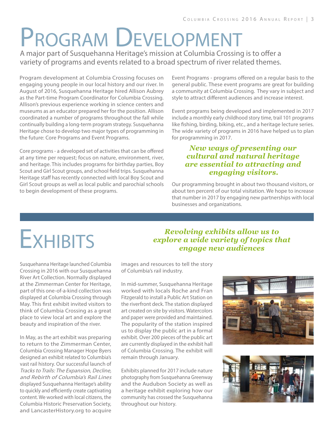## Program Development

A major part of Susquehanna Heritage's mission at Columbia Crossing is to offer a variety of programs and events related to a broad spectrum of river related themes.

Program development at Columbia Crossing focuses on engaging young people in our local history and our river. In August of 2016, Susquehanna Heritage hired Allison Aubrey as the Part-time Program Coordinator for Columbia Crossing. Allison's previous experience working in science centers and museums as an educator prepared her for the position. Allison coordinated a number of programs throughout the fall while continually building a long-term program strategy. Susquehanna Heritage chose to develop two major types of programming in the future: Core Programs and Event Programs.

Core programs - a developed set of activities that can be offered at any time per request; focus on nature, environment, river, and heritage. This includes programs for birthday parties, Boy Scout and Girl Scout groups, and school field trips. Susquehanna Heritage staff has recently connected with local Boy Scout and Girl Scout groups as well as local public and parochial schools to begin development of these programs.

Event Programs - programs offered on a regular basis to the general public. These event programs are great for building a community at Columbia Crossing. They vary in subject and style to attract different audiences and increase interest.

Event programs being developed and implemented in 2017 include a monthly early childhood story time, trail 101 programs like fishing, birding, biking, etc., and a heritage lecture series. The wide variety of programs in 2016 have helped us to plan for programming in 2017.

#### *New ways of presenting our cultural and natural heritage are essential to attracting and engaging visitors.*

Our programming brought in about two thousand visitors, or about ten percent of our total visitation. We hope to increase that number in 2017 by engaging new partnerships with local businesses and organizations.

*Revolving exhibits allow us to explore a wide variety of topics that engage new audiences*

# **E**xHIBITS

Susquehanna Heritage launched Columbia Crossing in 2016 with our Susquehanna River Art Collection. Normally displayed at the Zimmerman Center for Heritage, part of this one-of-a-kind collection was displayed at Columbia Crossing through May. This first exhibit invited visitors to think of Columbia Crossing as a great place to view local art and explore the beauty and inspiration of the river.

In May, as the art exhibit was preparing to return to the Zimmerman Center, Columbia Crossing Manager Hope Byers designed an exhibit related to Columbia's vast rail history. Our successful launch of Tracks to Trails: The Expansion, Decline, and Rebirth of Columbia's Rail Lines displayed Susquehanna Heritage's ability to quickly and efficiently create captivating content. We worked with local citizens, the Columbia Historic Preservation Society, and LancasterHistory.org to acquire

images and resources to tell the story of Columbia's rail industry.

In mid-summer, Susquehanna Heritage worked with locals Roche and Fran Fitzgerald to install a Public Art Station on the riverfront deck. The station displayed art created on site by visitors. Watercolors and paper were provided and maintained. The popularity of the station inspired us to display the public art in a formal exhibit. Over 200 pieces of the public art are currently displayed in the exhibit hall of Columbia Crossing. The exhibit will remain through January.

Exhibits planned for 2017 include nature photography from Susquehanna Greenway and the Audubon Society as well as a heritage exhibit exploring how our community has crossed the Susquehanna throughout our history.